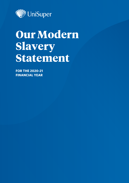

# **Our Modern Slavery Statement**

**FOR THE 2020-21 FINANCIAL YEAR**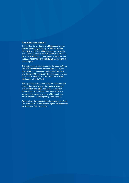#### **About this statement**

This Modern Slavery Statement **(Statement)** is given by UniSuper Management Pty Ltd ABN 91 006 961 799, AFSL No. 235907 **(USM)**, being an entity wholly owned by UniSuper Limited ABN 54 006 027 121, ASFL No. 492806 **(USL)** in its capacity as trustee of the fund UniSuper ABN 91 385 943 850 **(Fund)**, for the 2020-21 financial year.

The Statement is made pursuant to the *Modern Slavery Act 2018* (Cth) **(Act)** and has been approved by the Boards of USL in its capacity as trustee of the Fund and USM on 30 November 2021. The registered office for both USL and USM is Level 1, 385 Bourke Street, Melbourne, Victoria 3000.

The reporting entities covered by the Statement are USM and the Fund where it has had consolidated revenue of at least \$100 million for the relevant financial year. As the Fund takes modern slavery seriously, it chooses to prepare a Statement even where it is not a reporting entity under the Act.

Except where the context otherwise requires, the Fund, USL and USM are referred to throughout the Statement as, 'UniSuper', 'we', 'us' or 'our'.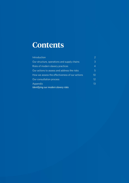## **Contents**

| Introduction                                     |                   |
|--------------------------------------------------|-------------------|
| Our structure, operations and supply chains      | 3.                |
| Risks of modern slavery practices                | 4                 |
| Our actions to assess and address the risks      | 5                 |
| How we assess the effectiveness of our actions   | 10 <sup>°</sup>   |
| Our consultation process                         | $12 \overline{ }$ |
| Appendix<br>Identifying our modern slavery risks | 13                |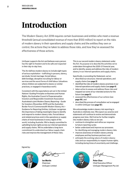## <span id="page-3-0"></span>**Introduction**

The Modern Slavery Act 2018 requires certain businesses and entities who meet a revenue threshold (annual consolidated revenue of more than \$100 million) to report on the risks of modern slavery in their operations and supply chains and the entities they own or control, the actions they've taken to address those risks, and how they've assessed the effectiveness of those actions.

UniSuper supports the Act and believes every person has the right to freedom and to be safe and respected in their day-to-day lives.

The Act defines modern slavery to include eight types of serious exploitation – trafficking in persons, slavery, servitude, forced marriage, forced labour, debt bondage, deceptive recruiting for labour or services and the worst forms of child labour (situations where children are subjected to slavery or similar practices, or engaged in hazardous work).

Consistent with the expectations set out in the United Nations' Guiding Principles on Business and Human Rights, the Australian Council of Superannuation Investors and Responsible Investment Association Australasia's joint Modern Slavery Reporting – Guide for Investors (November 2019) and the Australian Border Force's Commonwealth Modern Slavery Act – Guidance for Reporting Entities, UniSuper recognises the importance of taking meaningful steps to identify and respond to modern slavery risks. Forced labour and related practices exist in the operations or supply chains of most businesses in every region of the world, including Australia. We're deeply committed to upholding human rights across our internal operations and supply chains. We've undertaken a long-term commitment to understand our labour supply chain risks and improve the management of these risks.

This is our second modern slavery statement under the Act. Its purpose is to describe the activities we've undertaken throughout the 2020-21 financial year, and to identify, assess and address the risks of modern slavery in our internal operations and supply chains.

Specifically, in providing the Statement, we've:

- described our structure, internal operations, and supply chains (see **[page 3](#page-4-0)**)
- identified the risks of modern slavery practices in our internal operations and supply chains (see **[page 4](#page-5-0)**)
- taken action to assess and address those risks and mapped out some of our intended actions for the future (see **[page 5](#page-6-0)**)
- assessed the effectiveness of our actions (see **[page 10](#page-11-0)**), and
- described the process of consultation we've engaged in within UniSuper (see **[page 12](#page-13-0)**).

We acknowledge modern slavery risk reporting in Australia is relatively new. We expect our practice and statements will continue to evolve and demonstrate progress over time. We'll strive for further insights into modern slavery risks so we can:

- continue to strengthen and refine our response to future reporting cycles
- better understand and improve our processes for identifying and managing modern slavery risks
- improve awareness of modern slavery among employees and key business partners; and
- anticipate the evolving nature of modern slavery risks and our responsibility to respect human rights, including during times of uncertainty and challenge.

Signed by:



**Ian Martin** Chairman UniSuper Limited



**Peter Chun**  Chief Executive Officer UniSuper Management Pty Ltd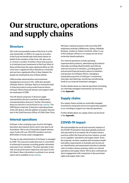## <span id="page-4-0"></span>**Our structure, operations and supply chains**

#### **Structure**

USL is the incorporated trustee of the Fund. It is the sole shareholder of USM in its capacity as trustee of the Fund and beneficially holds these shares on behalf of the members of the Fund. USL also owns or controls a number of entities whose sole purpose is to hold particular investments of the Fund. Most of these entities have the same registered office as USL, a few have a registered office elsewhere in Australia and one has a registered office in New Zealand. No people are employed by any of these entities.

USM provides administration and investment management services to USL. USM also operates UniSuper Advice. UniSuper Advice is licensed to deal in financial products and provide financial advice. UniSuper Advice financial advisers and support staff are employees of USM.

The USL Board comprises 11 directors (eight representative directors and three independent/ nonrepresentative directors). Further information about our directors can be found on our [website.](https://www.unisuper.com.au/en/about-us/who-we-are/our-people/our-board) The USM Board comprises 12 directors replicating those of the USL Board, with the addition of another director who is the Chief Executive Officer of USM, Peter Chun.

#### **Internal operations**

UniSuper is the complying super fund for the higher education and research sector and is now open to all Australians. We're one of Australia's largest industry super funds with over 450,000 members and over \$100 billion in funds under management.

The day-to-day administration of UniSuper is managed by USM. The executive leadership team is committed to achieving its purpose: providing greater retirement outcomes to our members. The team operates in line with annual performance objectives and report to the USL Board. More information is outlined in our annual report and is available on our [website](https://www.unisuper.com.au/en/about-us/governance-and-disclosures/annual-reports).

We have a national presence with more than 870 employees working in Melbourne, Sydney, Adelaide, Brisbane, Canberra, Hobart and Perth, either in one of the UniSuper offices or on-campus at one of our university-based employers.

Our internal operations include operating superannuation products, administering all products internally, providing inbuilt benefits and offering external insurance to members, providing general and personal financial product advice to members and spouses via UniSuper Advice, managing a substantial proportion of UniSuper's investments internally, and selecting, monitoring, and allocating funds to our external investment managers.

Further details about our internal operations (including our internally managed investments) can be found in the **[Appendix](#page-14-0)**.

## **Supply chains**

Our supply chains include our externally managed investments and goods and services generally supplied to us, including to support our internal operations.

Further details about our supply chains can be found in the **[Appendix](#page-14-0)**.

### **COVID-19 impact**

We acknowledge the social and economic impacts of the COVID-19 pandemic have been globally profound and may lead to an increased risk of modern slavery practices within the financial services industry, as well as our suppliers' operations and supply chains. Since the outbreak, we have complied with workplace health and safety requirements in Australia and carried out our identification and assessment activities to identify risks of modern slavery practices within our internal operations and supply chains. We've also continued our direct engagement with companies to discuss human rights and supply chain risks.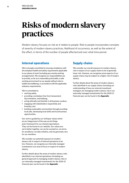## <span id="page-5-0"></span>**Risks of modern slavery practices**

Modern slavery focuses on risk as it relates to people. Risk to people incorporates concepts of severity of modern slavery practices, likelihood of occurrence, as well as the extent of the effect, in terms of the number of people affected and over what time period.

### **Internal operations**

We're strongly committed to ensuring compliance with all workplace health and safety requirements applicable to our places of work (including any remote working arrangements). We recognise our responsibilities are to provide, so far as is reasonably practicable, a safe working environment to our people without risks to health and wellbeing, in accordance with the applicable statutory requirements.

We're committed to:

- working safely,
- providing a workplace free from harassment, discrimination, and bullying,
- acting ethically and lawfully in all business conduct,
- engaging with stakeholders respectfully and honestly, and
- building sustainable communities through providing local jobs, developing local skills and local business opportunities.

Our work is guided by our UniSuper values which are an integral part of the way we do things and a framework for our shared expectations. They can be found on our website. Our values are: we're better together, we can be counted on, we strive for excellence, we take initiative, and we genuinely care for our members.

We consider our potential exposure to modern slavery risk in respect of internal operations to be low. However, we recognise our internally managed investments is an area of focus in respect of modern slavery.

Further details about the areas of modern slavery risks identified in our internal operations (including our general approach to managing modern slavery risks in our internally managed investments) for the 2020-21 financial year can be found in the **[Appendix](#page-14-0)**.

### **Supply chains**

We consider our overall exposure to modern slavery risk in respect of our supply chains to be of generally lower risk. However, we recognise some aspects of our supply chains may be subject to a higher risk of modern slavery.

Further details about the areas of modern slavery risks identified in our supply chains (including our understanding of how our external investment managers are managing modern slavery risk in our externally managed investments) for the 2020-21 financial year can be found in the **[Appendix](#page-14-0)**.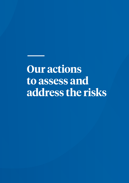# <span id="page-6-0"></span>**Our actions to assess and address the risks**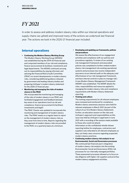## *FY 2021*

In order to assess and address modern slavery risks within our internal operations and supply chains we upheld and improved many of the actions we undertook last financial year. The actions we took in the 2020-21 financial year included:

## **Internal operations**

- **Continuing the Modern Slavery Working Group** The Modern Slavery Working Group (MSWG) was established during the 2019-20 financial year and comprised members of our risk and compliance, finance (procurement & facilities), investments and legal departments. The MSWG continued carrying out its responsibilities by staying informed, and advising the Financial Risk & Audit Committee (FRAC) on recent developments in modern slavery risks, considering additional guidance released by government and leading industry bodies and preparing UniSuper's modern slavery statement for the 2020-21 financial year.
- **Monitoring and managing the risks of modern slavery in the FRAC**

We incorporated the monitoring and managing of the risks of modern slavery in our FRAC and facilitated engagement and feedback between key areas of our operations (such as risk and compliance, finance (procurement & facilities), investments and legal).

The FRAC Charter was updated to incorporate the monitoring and management of modern slavery risks. The FRAC meets on a regular basis to report on the management of modern slavery risks as they arise from time to time. Reports regarding the management of modern slavery risks are provided to the FRAC on a quarterly basis at a minimum.

#### • **Developing and updating our frameworks, policies and procedures**

We assess the effectiveness of our engagement activities and compliance with our policies and procedures regularly. A review of our existing risk management framework and associated policies was completed to further embed modern slavery risk management into existing operational systems and processes (we receive independent assurance via an internal audit on the adequacy and effectiveness of our risk management framework, and have internal controls in place to manage risk). A new Modern Slavery Management Framework (MSMF) was established. The MSMF details the roles, responsibilities and resources applied to managing the modern slavery risks and compliance requirements with Modern Slavery Statement reporting.

• **Training and culture** 

The training requirements for all relevant employees were reviewed and monitored for compliance. Modern slavery awareness sessions were held for relevant employees in March 2021 (as part of the rollout of our first Modern Slavery Statement). Further, an education session on the risks and UniSuper's approach and responsibilities on this issue was held by UniSuper's Legal team in June 2021 with a recording of the session made available to those who could not attend.

Information on the confidential whistle-blower reporting hotline for employees, contractors and suppliers was reiterated to all relevant employees so they can freely raise concerns regarding suspected modern slavery practices.

• **Continuing modern slavery risk analysis in our Environmental, Social and Governance processes**  We continued last financial year's integration of modern slavery risk analysis into the existing Environmental, Social and Governance (ESG) risk processes for our internally managed portfolios. These assessment processes allowed us to focus on due diligence with higher risk suppliers and prioritise modern slavery engagement activities.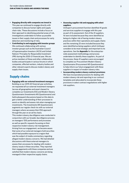- **Engaging directly with companies we invest in**  This year we continued to engage directly with companies to discuss human rights and supply chain risks. These discussions include a focus on their approach to identifying potential areas of risk, investigations undertaken to follow up possible issues in their supply chain and processes for early detection and monitoring of risks.
- **Contributing to and engaging with investor groups**  We continued collaborating with various investor groups such as the Australian Council of Superannuation Investors (ACSI) and United Nations' Principles for Responsible Investment (PRI) during the 2020-21 financial year. We are active members of these and other collaborative bodies and participate in various forums in which companies, affected workers, industry bodies and other relevant experts discuss modern slavery and supply chain issues.

### **Supply chains**

• **Engaging with our external investment managers**  Building on our 2019-20 financial year activities, we requested all our external investment managers (across all geographies and asset classes) to complete our Investments ESG and Modern Slavery Questionnaire (Investments MS Questionnaire) and held subsequent discussions based on this data to gain a better understanding of their processes to assist us identify and assess risk when managing our investments. The Investments MS Questionnaire augments our regular check-ins with our external managers where we assess their ESG approach through the year on an ad hoc basis.

This modern slavery due diligence was conducted in conjunction with our broader due diligence process on managers' ESG performance and processes as well as specific requests focussing on their respective modern slavery risk management. Arising from our engagement, we became aware that some of our external managers hold securities which had possible exposure to a region that was the subject of media commentary regarding alleged modern slavery concerns. We had detailed discussions with these external managers to assess their processes for dealing with modern slavery issues in these securities. They reported their engagements with these companies and are satisfied that modern slavery concerns are being managed in their respective supply chains.

#### • **Assessing supplier risk and engaging with select suppliers**

UniSuper's procurement function identified 41 goods and services suppliers to engage with this year as part of its assessment. Out of the 41 suppliers, 16 were included because they were identified as being at a higher risk of having modern slavery practices within their operations and supply chains and the remaining 25 were included because they were identified as being suppliers which UniSuper considers to be most strategic and important to its operations. See the **[Appendix](#page-14-0)** for the enterprisewide assessment methodology and process undertaken to identify these suppliers. As part of the process, these 41 suppliers were encouraged to complete our Procurement Modern Slavery Questionnaire (Procurement MS Questionnaire) to help inform our future engagement with these suppliers in respect of modern slavery risks.

• **Incorporating modern slavery contract provisions**  We have incorporated provisions for dealing with modern slavery risk and reporting in our contract templates and advocated to incorporate these provisions in select contract negotiations with higher risk suppliers.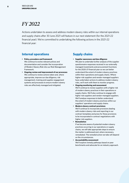## *FY 2022*

Actions undertaken to assess and address modern slavery risks within our internal operations and supply chains after 30 June 2021 will feature in our next statement (for the 2021-22 financial year). We're committed to undertaking the following actions in the 2021-22 financial year:

## **Internal operations**

- **Policy, procedure and framework** We continue to evolve relevant polices and documentation and consider the incorporation of Modern Slavery Risk into our Risk Management Framework.
- **Ongoing review and improvement of our processes**  We continue to review actions taken and, where appropriate, improve our due diligence, risk management, training and supplier engagement systems and processes to ensure modern slavery risks are effectively managed and mitigated.

### **Supply chains**

• **Supplier awareness and due diligence** 

We plan to undertake further analysis of the supplier questionnaire responses received in our externally managed investments and procurement functions for the 2020-21 financial year so we can better understand the extent of modern slavery practices within their operations and supply chains. Where higher-risk suppliers and vendor-managed suppliers have undertaken actions to address modern slavery risks, we'll work with them to monitor progress.

- **Ongoing monitoring and assessment**  We'll continue to review suppliers with a higher risk of modern slavery practices in their operations or supply chains. We'll also continue to engage with higher risk suppliers and vendor-managed suppliers. We'll analyse responses to better understand the extent of modern slavery practices within our suppliers' operations and supply chains.
- **Modern slavery contract provisions**  We'll continue to incorporate provisions dealing with modern slavery risks and reporting in our contract templates and press for these provisions to be incorporated in contract negotiations with higher risk suppliers.
- **Remediation**

If we become aware of potential modern slavery practices occurring in our operations or supply chains, we will take appropriate steps to ensure the matter is addressed and, where necessary, remediated. The remedial action we take will depend on the circumstances.

• **Accountability assessment**

We'll explore remedy pathways based on peer benchmarks and advocate for an industry approach.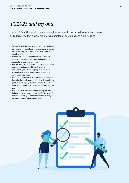## *FY2023 and beyond*

For the 2022-23 financial year and beyond, we're considering the following actions to assess and address modern slavery risks within our internal operations and supply chains:

- Work with existing and new suppliers of goods and services to continue to raise awareness and mitigate modern slavery risks within their operations and supply chains;
- Remediate any identified instances of modern slavery in operations and supply chain via our incident management process;
- Expand modern slavery risk analysis in investment portfolios and address high risk areas in investments, as well as ongoing collaboration with industry partners as part of a responsible investment approach;
- Develop and refine risk assessment of supply chain, including in-depth analysis of high-risk suppliers in procurement supply chain and establish a risk based approach to determine likelihood of greatest harm; and
- Evolve metrics (and potentially use key performance indicators) to better monitor the effectiveness of our actions to identify and address modern slavery risks in our operations and supply chains.

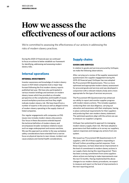## <span id="page-11-0"></span>**How we assess the effectiveness of our actions**

We're committed to assessing the effectiveness of our actions in addressing the risks of modern slavery practices.

During the 2020-21 financial year we continued to focus on actions to better establish our framework for identifying, addressing and assessing modern slavery risks.

## **Internal operations**

#### INTERNAL INVESTMENTS

Investor awareness and knowledge of modern slavery issues in ASX listed companies took a major leap forward following the first modern slavery reports published last year. We have also participated in various investor briefings and seminars on modern slavery issues which has provided us a broader perspective on the complexities and breadth of issues around workplace practices and how they might indicate modern slavery risk. We have heard from a number of experts in this area as well as alleged victims of modern slavery operating in the supply chains of listed companies.

Our regular engagements with companies on ESG issues now includes modern slavery discussions. Our focus in these discussions extends beyond the technical definition of modern slavery and encompasses broader workplace relations issues such as wage underpayment and excess overtime. We see this approach as similar to the way workplace safety considerations have extended from a narrow focus on physical injuries to near misses, incident root cause analysis and mental health considerations.

### **Supply chains**

#### GOODS AND SERVICES

In relation to goods and services procured by UniSuper, we make the following observations.

After carrying out a review of the supplier assessment questionnaire (for supplier engagement during the 2019-20 financial year) UniSuper has now adopted the Procurement MS Questionnaire. This is a more optimised and appropriate modern slavery assessment for procured goods and services and was developed in conjunction with a relevant industry body and is more appropriate for the type of services we procure.

The Procurement MS Questionnaire has enhanced our ability to report and monitor supplier progress with modern slavery actions. This includes suppliers conducting their own due diligence, carrying out education and awareness with their employees, having in place contractual requirements for their suppliers and producing their own modern slavery statement. The optimised questions align with the actions we use to measure our suppliers' progress.

UniSuper has systemised its approach to managing modern slavery supply chain risk. We have adopted a governance tool that enables us to survey our suppliers, capture responses and manage any actions from one system.

We issued our Procurement MS Questionnaire to 41 suppliers, with 30 of those suppliers responding in full and 3 others providing a partial response. From these responses, we have observed an improvement in the level of commitment to modern slavery actions in our supply chains during this reporting period. There has been a strong commitment from some suppliers where actions are lacking to make improvements over the next 12 months. Having implemented the above changes to our modern slavery procedures, we expect to measure and report on the level of improvements in the next reporting period.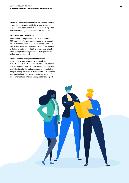We have also encountered instances where a number of suppliers have not provided a response, or their response was less substantial than what we expected. We are continuing to engage with these suppliers.

#### EXTERNAL INVESTMENTS

We conduct a comprehensive assessment of the ESG approach of any new asset manager we appoint. This includes an initial ESG questionnaire combined with an interview with representatives of the manager including investment and ESG professionals. We also conduct regular meetings with our managers on an ad hoc basis as required.

We also ask our managers to complete the ESG questionnaire on a two year cycle, which we did in 2021. For this questionnaire, we included questions on their modern slavery approach which encompassed identification of risks and processes for remediating and preventing incidents in their investments portfolio and supply chain. This process was used as part of our assessment of our external managers for this report.

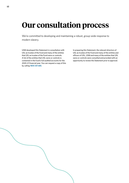## <span id="page-13-0"></span>**Our consultation process**

We're committed to developing and maintaining a robust, group-wide response to modern slavery.

USM developed this Statement in consultation with USL as trustee of the Fund and many of the entities that USL as trustee of the Fund owns or controls. A list of the entities that USL owns or controls is contained in the Fund's full audited accounts for the 2020-21 financial year. You can request a copy of this by calling **1800 331 685**.

In preparing this Statement, the relevant directors of USL as trustee of the Fund and many of the entities and officers of USL, USM and many of the entities that USL owns or controls were consulted and provided with an opportunity to review the Statement prior to approval.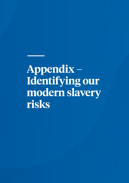# <span id="page-14-0"></span>**Appendix – Identifying our modern slavery risks**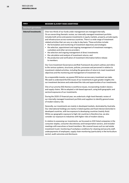| <b>AREA</b>                 | <b>MODERN SLAVERY RISKS IDENTIFIED</b>                                                                                                                                                                                                                                                                                                                                                                                                                                                                                                                                                                                                                                                                                                                                                                                                                       |
|-----------------------------|--------------------------------------------------------------------------------------------------------------------------------------------------------------------------------------------------------------------------------------------------------------------------------------------------------------------------------------------------------------------------------------------------------------------------------------------------------------------------------------------------------------------------------------------------------------------------------------------------------------------------------------------------------------------------------------------------------------------------------------------------------------------------------------------------------------------------------------------------------------|
| <b>Internal operations</b>  |                                                                                                                                                                                                                                                                                                                                                                                                                                                                                                                                                                                                                                                                                                                                                                                                                                                              |
| <b>Internal investments</b> | Over two-thirds of our funds under management are managed internally.<br>On an overarching thematic review, our internally managed investment portfolio<br>includes both active and passive investments in equity markets, property, private equity<br>and infrastructure across numerous countries. There is a wide range of investment<br>related activities that can vary on a day to day basis. These activities include:<br>• the formulation and monitoring of investment objectives and strategies<br>• the selection, appointment and ongoing management of investment managers,<br>custodians and other service providers<br>• the selection and ongoing management of direct investments<br>• the calculation and analysis of investment returns, and<br>• the production and verification of investment information before release<br>to members. |
|                             | Our Core Investment Governance and Risk Framework document outlines and refers<br>to the various systems, structures, policies, processes and personnel in relation to<br>investment-related activities, including the generation of returns to meet investment<br>objectives and the monitoring and management of investment risk.                                                                                                                                                                                                                                                                                                                                                                                                                                                                                                                          |
|                             | As a responsible investor, we assess ESG factors across every investment we make.<br>We seek to understand the ESG issues of our investments to gain greater insights into<br>our investment decisions and understand the risks and opportunities of our investments.                                                                                                                                                                                                                                                                                                                                                                                                                                                                                                                                                                                        |
|                             | One of our priority ESG themes is workforce issues, incorporating modern slavery<br>and supply chains. We've adopted a risk-based approach, using both geographic and<br>sectoral exposures of our investments.                                                                                                                                                                                                                                                                                                                                                                                                                                                                                                                                                                                                                                              |
|                             | During the 2020-21 financial year, we undertook a high-level thematic review of<br>our internally managed investment portfolio and suppliers to identify general areas<br>of modern slavery risk.                                                                                                                                                                                                                                                                                                                                                                                                                                                                                                                                                                                                                                                            |
|                             | Generally, our investments are mainly in developed markets, dominated by Australia.<br>Our international holdings are mainly in listed equities and fixed interest domiciled in<br>developed countries, with low exposure to developing countries (mainly Asia).<br>While our geographic exposure to high risk countries is therefore low, we also<br>consider our exposure to industries with higher risks of modern slavery.                                                                                                                                                                                                                                                                                                                                                                                                                               |
|                             | In relation to assessing our investments, we focussed on ASX listed companies in the<br>consumer staples, consumer discretionary and transportation sectors, and included<br>meetings with executives or board members. We covered issues such as real estate<br>investment trusts' monitoring of workplace conditions for cleaning and security staff,<br>underpayments of employees, supply chain monitoring (particularly in the horticulture<br>sector), audit outcomes and disclosure.                                                                                                                                                                                                                                                                                                                                                                  |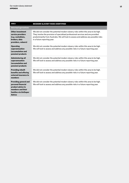| <b>AREA</b>                                                                                                                            | <b>MODERN SLAVERY RISKS IDENTIFIED</b>                                                                                                                                                                                                                                                        |
|----------------------------------------------------------------------------------------------------------------------------------------|-----------------------------------------------------------------------------------------------------------------------------------------------------------------------------------------------------------------------------------------------------------------------------------------------|
| <b>Internal operations</b>                                                                                                             |                                                                                                                                                                                                                                                                                               |
| <b>Other investment</b><br>service providers<br>(e.g. custodians,<br>brokers, data<br>providers, valuers)                              | We did not consider the potential modern slavery risks within this area to be high.<br>They involve the provision of specialised professional services and are provided<br>predominantly from Australia. We will look to assess and address any possible risks<br>in a future reporting year. |
| <b>Operating</b><br>superannuation<br><b>(accumulation and</b><br>pension) products                                                    | We did not consider the potential modern slavery risks within this area to be high.<br>We will look to assess and address any possible risks in a future reporting year.                                                                                                                      |
| <b>Administering all</b><br>superannuation<br><b>(accumulation and</b><br>pension) products                                            | We did not consider the potential modern slavery risks within this area to be high.<br>We will look to assess and address any possible risks in a future reporting year.                                                                                                                      |
| <b>Providing inbuilt</b><br>benefits and offering<br>external insurance to<br>members                                                  | We did not consider the potential modern slavery risks within this area to be high.<br>We will look to assess and address any possible risks in a future reporting year.                                                                                                                      |
| <b>Providing general and</b><br>personal financial<br>product advice to<br>members and their<br>families via UniSuper<br><b>Advice</b> | We did not consider the potential modern slavery risks within this area to be high.<br>We will look to assess and address any possible risks in a future reporting year.                                                                                                                      |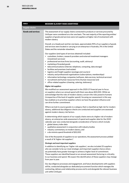| <b>AREA</b>               | <b>MODERN SLAVERY RISKS IDENTIFIED</b>                                                                                                                                                                                                                                                                                                                                                                                                                         |
|---------------------------|----------------------------------------------------------------------------------------------------------------------------------------------------------------------------------------------------------------------------------------------------------------------------------------------------------------------------------------------------------------------------------------------------------------------------------------------------------------|
| Supply chains             |                                                                                                                                                                                                                                                                                                                                                                                                                                                                |
| <b>Goods and services</b> | The assessment of our supply chains connected to products or services procured by<br>UniSuper were considered on a tier one basis. The vast majority of the reporting entities'<br>suppliers of goods and services were not suppliers at higher risk of involvement with<br>modern slavery.                                                                                                                                                                    |
|                           | Overall, on a headcount and tier one basis, approximately 95% of our suppliers of goods<br>and services were located or carrying on an enterprise in Australia, 3% in the United<br>States and the remainder elsewhere.                                                                                                                                                                                                                                        |
|                           | Our suppliers (and types of services obtained) included:<br>• custodians, brokers, research providers and external investment managers<br>(investment services)                                                                                                                                                                                                                                                                                                |
|                           | professional services firms (accounting, audit, advisory)<br>٠<br>• marketing of branded goods<br>• telecommunications (internet, telephone, computing, data storage)                                                                                                                                                                                                                                                                                          |
|                           | • facilities and premises (real estate)                                                                                                                                                                                                                                                                                                                                                                                                                        |
|                           | • logistics and freight suppliers (postage and couriers)<br>• industry and professional organisations (subscriptions, memberships)                                                                                                                                                                                                                                                                                                                             |
|                           | • information technology companies (software, data services, technical services)<br>recruitment and human resources firms (human resources) and<br>• office-related suppliers (cleaning, catering, stationery).                                                                                                                                                                                                                                                |
|                           | <b>Higher risk suppliers</b>                                                                                                                                                                                                                                                                                                                                                                                                                                   |
|                           | We modified our assessment approach in the 2020-21 financial year to focus<br>on suppliers where our annual spend with them was above \$20,000. While we<br>acknowledge that the risks of modern slavery concern the risks posed to humans<br>(irrespective of the level of supplier spend), focusing our assessment in this way<br>has enabled us to prioritise suppliers where we have the greatest influence and                                            |
|                           | can drive further commitment.                                                                                                                                                                                                                                                                                                                                                                                                                                  |
|                           | Where we look to source goods in a category that is classified as high risk for modern<br>slavery, additional due diligence checks are conducted and suppliers are assessed<br>against modern slavery risk factors.                                                                                                                                                                                                                                            |
|                           | In determining which aspects of our supply chains were at a higher risk of modern<br>slavery, an enterprise-wide assessment of spend and supplier data for the 2020<br>calendar year was conducted alongside consideration of factors which include:<br>· global slavery index data<br>qualitative assessment in conjunction with industry bodies<br>٠                                                                                                         |
|                           | industry commentary on modern slavery, and<br>a de minimis spend threshold of \$20,000<br>٠                                                                                                                                                                                                                                                                                                                                                                    |
|                           | Out of the thousands of suppliers to our operations, the assessment process yielded<br>a result of 16 'higher risk suppliers".                                                                                                                                                                                                                                                                                                                                 |
|                           | <b>Strategic and most important suppliers</b>                                                                                                                                                                                                                                                                                                                                                                                                                  |
|                           | In addition to identifying our 'higher risk suppliers', we also included 25 suppliers<br>who we consider to be our most strategic and important suppliers hence where<br>we potentially have greater leverage to achieve a higher level of commitment.<br>These suppliers are identified based on an annual assessment factoring in criticality<br>to our business and spend. We expect the identification of these suppliers may change<br>from year to year. |
|                           | Our due diligence processes and engagement, and future developments with suppliers<br>will be, conducted alongside our dedicated procurement function which manages the<br>contracting, delivery and relationship process end to end alongside the relevant business<br>unit within UniSuper.                                                                                                                                                                  |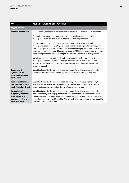| <b>AREA</b>                                                                                               | <b>MODERN SLAVERY RISKS IDENTIFIED</b>                                                                                                                                                                                                                                                                                                                                                                                       |
|-----------------------------------------------------------------------------------------------------------|------------------------------------------------------------------------------------------------------------------------------------------------------------------------------------------------------------------------------------------------------------------------------------------------------------------------------------------------------------------------------------------------------------------------------|
| <b>Supply</b> chains                                                                                      |                                                                                                                                                                                                                                                                                                                                                                                                                              |
| <b>External investments</b>                                                                               | Our externally managed investments comprise under one third of our investments.                                                                                                                                                                                                                                                                                                                                              |
|                                                                                                           | For modern slavery risk purposes, risks are potentially present in our external<br>managers as suppliers and in relation to the assets being managed.                                                                                                                                                                                                                                                                        |
|                                                                                                           | For this Statement, we continue to gain an understanding of our external<br>managers' processes for identifying, assessing and managing modern slavery risks<br>(on a geographical risk and sector risk basis) when managing our investments. We do<br>so as part of our regular due diligence on managers' ESG performance and processes<br>as well as specific requests focussing on their modern slavery risk management. |
|                                                                                                           | We did not consider the potential modern slavery risks with external investment<br>managers as tier one suppliers to be high, however, we will look to assess and<br>address any possible risks in a future reporting year and continue to report our<br>progress annually.                                                                                                                                                  |
| <b>Employment</b><br>agreements for<br><b>USM</b> employees and<br>contractors                            | We did not consider the potential modern slavery risks within this area to be high.<br>We will look to assess and address any possible risks in a future reporting year.                                                                                                                                                                                                                                                     |
| <b>Professional advisers</b><br>(e.g. accounting firms,<br>audit firms, law firms)                        | We did not consider the potential modern slavery risks within this area to be high.<br>The services provided to us are predominately located in Australia. We will look to<br>assess and address any possible risks in a future reporting year.                                                                                                                                                                              |
| Incidental ad hoc<br>supplier agreements<br>entered into at a<br>business level on a<br>repetitive basis. | We did not consider the potential modern slavery risks within this area to be high.<br>The extent of any such engagement would have been below a materiality threshold<br>(otherwise the supply would have gone through the procurement process - described<br>in the 'key suppliers' row of this table). We will look to assess and address any possible<br>risks in a future reporting year.                               |